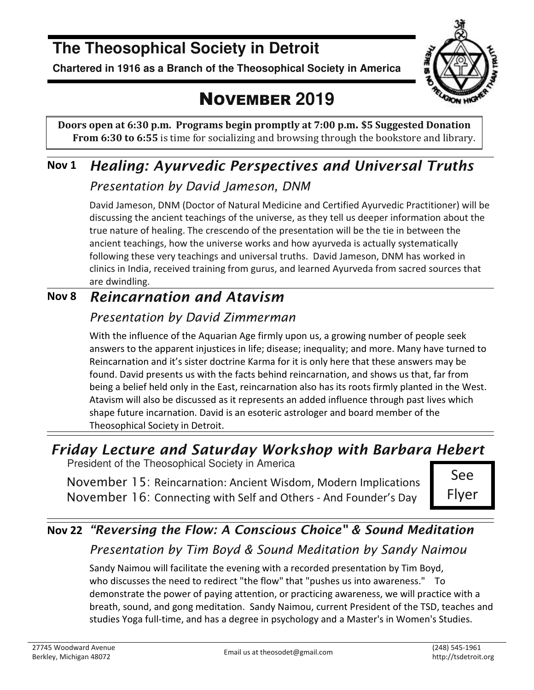## **The Theosophical Society in Detroit**

**Chartered in 1916 as a Branch of the Theosophical Society in America** 



## NOVEMBER **2019**

**Doors open at 6:30 p.m. Programs begin promptly at 7:00 p.m. \$5 Suggested Donation From 6:30 to 6:55** is time for socializing and browsing through the bookstore and library.

## **Nov 1** *Healing: Ayurvedic Perspectives and Universal Truths*

#### *Presentation by David Jameson, DNM*

David Jameson, DNM (Doctor of Natural Medicine and Certified Ayurvedic Practitioner) will be discussing the ancient teachings of the universe, as they tell us deeper information about the true nature of healing. The crescendo of the presentation will be the tie in between the ancient teachings, how the universe works and how ayurveda is actually systematically following these very teachings and universal truths. David Jameson, DNM has worked in clinics in India, received training from gurus, and learned Ayurveda from sacred sources that are dwindling.

### **Nov 8** *Reincarnation and Atavism*

### *Presentation by David Zimmerman*

With the influence of the Aquarian Age firmly upon us, a growing number of people seek answers to the apparent injustices in life; disease; inequality; and more. Many have turned to Reincarnation and it's sister doctrine Karma for it is only here that these answers may be found. David presents us with the facts behind reincarnation, and shows us that, far from being a belief held only in the East, reincarnation also has its roots firmly planted in the West. Atavism will also be discussed as it represents an added influence through past lives which shape future incarnation. David is an esoteric astrologer and board member of the Theosophical Society in Detroit.

## *Friday Lecture and Saturday Workshop with Barbara Hebert*

President of the Theosophical Society in America

November 15: Reincarnation: Ancient Wisdom, Modern Implications November 16: Connecting with Self and Others - And Founder's Day

See Flyer

### **Nov 22** *"Reversing the Flow: A Conscious Choice" & Sound Meditation Presentation by Tim Boyd & Sound Meditation by Sandy Naimou*

Sandy Naimou will facilitate the evening with a recorded presentation by Tim Boyd, who discusses the need to redirect "the flow" that "pushes us into awareness." To demonstrate the power of paying attention, or practicing awareness, we will practice with a breath, sound, and gong meditation. Sandy Naimou, current President of the TSD, teaches and studies Yoga full-time, and has a degree in psychology and a Master's in Women's Studies.